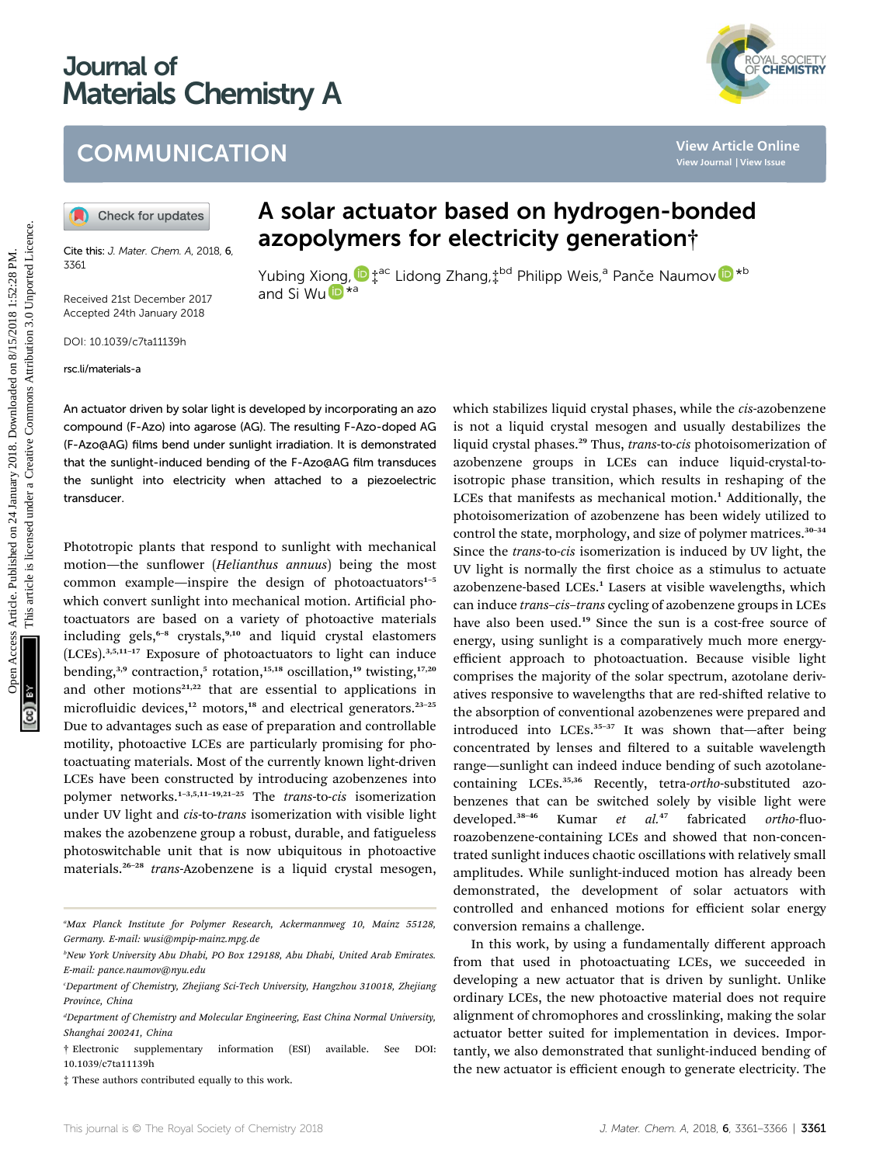# Journal of Materials Chemistry A



### **COMMUNICATION**

Cite this: J. Mater. Chem. A, 2018, 6 3361

Received 21st December 2017 Accepted 24th January 2018

DOI: 10.1039/c7ta11139h

rsc.li/materials-a

## A solar actuator based on hydrogen-bonded azopolymers for electricity generation†

Yubing Xiong[,](http://orcid.org/0000-0001-6657-2595)  $\mathbf{D}^{\texttt{+ac}}_{\texttt{+}}$  Lidong Zhang, $\texttt{+}^{\texttt{bd}}$  Philipp Weis, $\texttt{^a}$  Panče Naumo[v](http://orcid.org/0000-0003-2416-6569)  $\mathbf{D}^{\texttt{*b}}$ and Si W[u](http://orcid.org/0000-0001-8156-346X) $\mathbb{D}^{*a}$ 

An actuator driven by solar light is developed by incorporating an azo compound (F-Azo) into agarose (AG). The resulting F-Azo-doped AG (F-Azo@AG) films bend under sunlight irradiation. It is demonstrated that the sunlight-induced bending of the F-Azo@AG film transduces the sunlight into electricity when attached to a piezoelectric transducer.

Phototropic plants that respond to sunlight with mechanical motion—the sunflower (Helianthus annuus) being the most common example—inspire the design of photoactuators<sup>1-5</sup> which convert sunlight into mechanical motion. Artificial photoactuators are based on a variety of photoactive materials including gels,<sup>6-8</sup> crystals,<sup>9,10</sup> and liquid crystal elastomers (LCEs).3,5,11–<sup>17</sup> Exposure of photoactuators to light can induce bending,<sup>3,9</sup> contraction,<sup>5</sup> rotation,<sup>15,18</sup> oscillation,<sup>19</sup> twisting,<sup>17,20</sup> and other motions<sup>21,22</sup> that are essential to applications in microfluidic devices, $12$  motors, $18$  and electrical generators. $23-25$ Due to advantages such as ease of preparation and controllable motility, photoactive LCEs are particularly promising for photoactuating materials. Most of the currently known light-driven LCEs have been constructed by introducing azobenzenes into polymer networks.<sup>1-3,5,11-19,21-25</sup> The *trans-to-cis* isomerization under UV light and cis-to-trans isomerization with visible light makes the azobenzene group a robust, durable, and fatigueless photoswitchable unit that is now ubiquitous in photoactive materials.<sup>26-28</sup> trans-Azobenzene is a liquid crystal mesogen,

which stabilizes liquid crystal phases, while the cis-azobenzene is not a liquid crystal mesogen and usually destabilizes the liquid crystal phases.<sup>29</sup> Thus, trans-to-cis photoisomerization of azobenzene groups in LCEs can induce liquid-crystal-toisotropic phase transition, which results in reshaping of the LCEs that manifests as mechanical motion.<sup>1</sup> Additionally, the photoisomerization of azobenzene has been widely utilized to control the state, morphology, and size of polymer matrices.<sup>30-34</sup> Since the trans-to-cis isomerization is induced by UV light, the UV light is normally the first choice as a stimulus to actuate azobenzene-based LCEs.<sup>1</sup> Lasers at visible wavelengths, which can induce trans-cis-trans cycling of azobenzene groups in LCEs have also been used.<sup>19</sup> Since the sun is a cost-free source of energy, using sunlight is a comparatively much more energyefficient approach to photoactuation. Because visible light comprises the majority of the solar spectrum, azotolane derivatives responsive to wavelengths that are red-shifted relative to the absorption of conventional azobenzenes were prepared and introduced into LCEs.<sup>35-37</sup> It was shown that-after being concentrated by lenses and filtered to a suitable wavelength range—sunlight can indeed induce bending of such azotolanecontaining LCEs.<sup>35,36</sup> Recently, tetra-ortho-substituted azobenzenes that can be switched solely by visible light were developed.<sup>38-46</sup> Kumar et al.<sup>47</sup> fabricated ortho-fluoroazobenzene-containing LCEs and showed that non-concentrated sunlight induces chaotic oscillations with relatively small amplitudes. While sunlight-induced motion has already been demonstrated, the development of solar actuators with controlled and enhanced motions for efficient solar energy conversion remains a challenge. COMMUNICATION<br>
(a) Check for updates<br>
A solar actuator based on hydrogen-bonded<br>
Care with Note Own 4.2018 6.<br>
azopolymers for electricity generation;<br>
Yubing Niong 2hang,<sup>242</sup> Philipp Weis,<sup>9</sup> Pance Naumov **@**<br>
Recevel 2

> In this work, by using a fundamentally different approach from that used in photoactuating LCEs, we succeeded in developing a new actuator that is driven by sunlight. Unlike ordinary LCEs, the new photoactive material does not require alignment of chromophores and crosslinking, making the solar actuator better suited for implementation in devices. Importantly, we also demonstrated that sunlight-induced bending of the new actuator is efficient enough to generate electricity. The

a Max Planck Institute for Polymer Research, Ackermannweg 10, Mainz 55128, Germany. E-mail: wusi@mpip-mainz.mpg.de

b New York University Abu Dhabi, PO Box 129188, Abu Dhabi, United Arab Emirates. E-mail: pance.naumov@nyu.edu

c Department of Chemistry, Zhejiang Sci-Tech University, Hangzhou 310018, Zhejiang Province, China

<sup>&</sup>lt;sup>d</sup>Department of Chemistry and Molecular Engineering, East China Normal University, Shanghai 200241, China

<sup>†</sup> Electronic supplementary information (ESI) available. See DOI: 10.1039/c7ta11139h

<sup>‡</sup> These authors contributed equally to this work.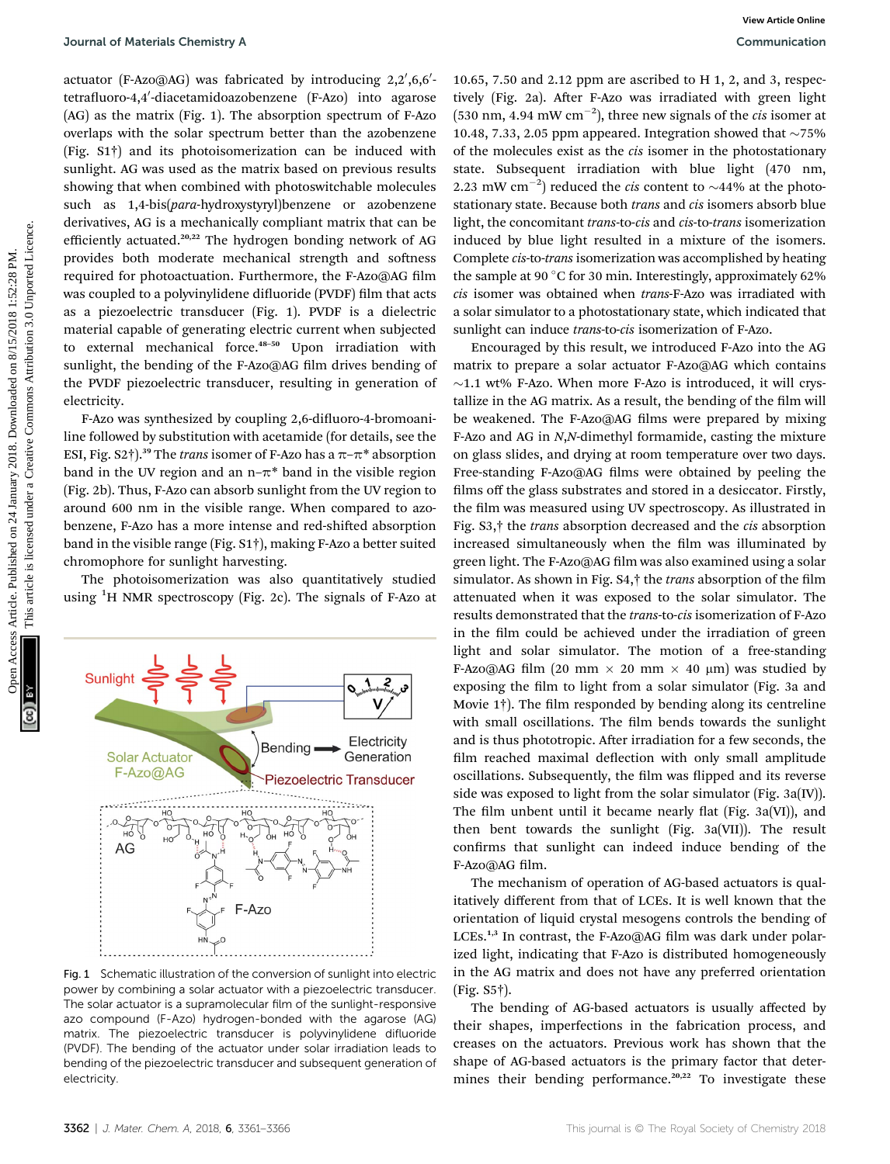actuator (F-Azo@AG) was fabricated by introducing 2,2′,6,6′tetrafluoro-4,4'-diacetamidoazobenzene (F-Azo) into agarose (AG) as the matrix (Fig. 1). The absorption spectrum of F-Azo overlaps with the solar spectrum better than the azobenzene (Fig. S1†) and its photoisomerization can be induced with sunlight. AG was used as the matrix based on previous results showing that when combined with photoswitchable molecules such as 1,4-bis(para-hydroxystyryl)benzene or azobenzene derivatives, AG is a mechanically compliant matrix that can be efficiently actuated.20,22 The hydrogen bonding network of AG provides both moderate mechanical strength and softness required for photoactuation. Furthermore, the F-Azo@AG film was coupled to a polyvinylidene difluoride (PVDF) film that acts as a piezoelectric transducer (Fig. 1). PVDF is a dielectric material capable of generating electric current when subjected to external mechanical force.<sup>48-50</sup> Upon irradiation with sunlight, the bending of the F-Azo@AG film drives bending of the PVDF piezoelectric transducer, resulting in generation of electricity.

F-Azo was synthesized by coupling 2,6-difluoro-4-bromoaniline followed by substitution with acetamide (for details, see the ESI, Fig. S2†).<sup>39</sup> The *trans* isomer of F-Azo has a  $\pi$ - $\pi$ <sup>\*</sup> absorption band in the UV region and an  $n-\pi^*$  band in the visible region (Fig. 2b). Thus, F-Azo can absorb sunlight from the UV region to around 600 nm in the visible range. When compared to azobenzene, F-Azo has a more intense and red-shifted absorption band in the visible range (Fig. S1†), making F-Azo a better suited chromophore for sunlight harvesting.

The photoisomerization was also quantitatively studied using <sup>1</sup>H NMR spectroscopy (Fig. 2c). The signals of F-Azo at



Fig. 1 Schematic illustration of the conversion of sunlight into electric power by combining a solar actuator with a piezoelectric transducer. The solar actuator is a supramolecular film of the sunlight-responsive azo compound (F-Azo) hydrogen-bonded with the agarose (AG) matrix. The piezoelectric transducer is polyvinylidene difluoride (PVDF). The bending of the actuator under solar irradiation leads to bending of the piezoelectric transducer and subsequent generation of electricity.

10.65, 7.50 and 2.12 ppm are ascribed to H 1, 2, and 3, respectively (Fig. 2a). After F-Azo was irradiated with green light (530 nm, 4.94 mW cm<sup>-2</sup>), three new signals of the *cis* isomer at 10.48, 7.33, 2.05 ppm appeared. Integration showed that  $\sim$ 75% of the molecules exist as the *cis* isomer in the photostationary state. Subsequent irradiation with blue light (470 nm, 2.23 mW cm<sup>-2</sup>) reduced the *cis* content to  $\sim$ 44% at the photostationary state. Because both *trans* and *cis* isomers absorb blue light, the concomitant trans-to-cis and cis-to-trans isomerization induced by blue light resulted in a mixture of the isomers. Complete cis-to-trans isomerization was accomplished by heating the sample at 90 $\degree$ C for 30 min. Interestingly, approximately 62% cis isomer was obtained when trans-F-Azo was irradiated with a solar simulator to a photostationary state, which indicated that sunlight can induce trans-to-cis isomerization of F-Azo.

Encouraged by this result, we introduced F-Azo into the AG matrix to prepare a solar actuator F-Azo@AG which contains  $\sim$ 1.1 wt% F-Azo. When more F-Azo is introduced, it will crystallize in the AG matrix. As a result, the bending of the film will be weakened. The F-Azo@AG films were prepared by mixing F-Azo and AG in N,N-dimethyl formamide, casting the mixture on glass slides, and drying at room temperature over two days. Free-standing F-Azo@AG films were obtained by peeling the films off the glass substrates and stored in a desiccator. Firstly, the film was measured using UV spectroscopy. As illustrated in Fig. S3,† the trans absorption decreased and the cis absorption increased simultaneously when the film was illuminated by green light. The F-Azo@AG film was also examined using a solar simulator. As shown in Fig.  $S4$ , $\dagger$  the *trans* absorption of the film attenuated when it was exposed to the solar simulator. The results demonstrated that the trans-to-cis isomerization of F-Azo in the film could be achieved under the irradiation of green light and solar simulator. The motion of a free-standing F-Azo@AG film (20 mm  $\times$  20 mm  $\times$  40 µm) was studied by exposing the film to light from a solar simulator (Fig. 3a and Movie  $1\dagger$ ). The film responded by bending along its centreline with small oscillations. The film bends towards the sunlight and is thus phototropic. After irradiation for a few seconds, the film reached maximal deflection with only small amplitude oscillations. Subsequently, the film was flipped and its reverse side was exposed to light from the solar simulator (Fig. 3a(IV)). The film unbent until it became nearly flat (Fig. 3a(VI)), and then bent towards the sunlight (Fig. 3a(VII)). The result confirms that sunlight can indeed induce bending of the F-Azo@AG film. Journal of Muterials Chemistry Articles. Published on 24 As<sup>c</sup> 1005, 7.50 and 2.11 ppm are ascieled of 11, 2, and 3, respect<br>terminomials common access Article is licensed under published on 11, 2, and 3, respect the publ

> The mechanism of operation of AG-based actuators is qualitatively different from that of LCEs. It is well known that the orientation of liquid crystal mesogens controls the bending of LCEs.<sup>1,3</sup> In contrast, the F-Azo@AG film was dark under polarized light, indicating that F-Azo is distributed homogeneously in the AG matrix and does not have any preferred orientation (Fig. S5†).

> The bending of AG-based actuators is usually affected by their shapes, imperfections in the fabrication process, and creases on the actuators. Previous work has shown that the shape of AG-based actuators is the primary factor that determines their bending performance.<sup>20,22</sup> To investigate these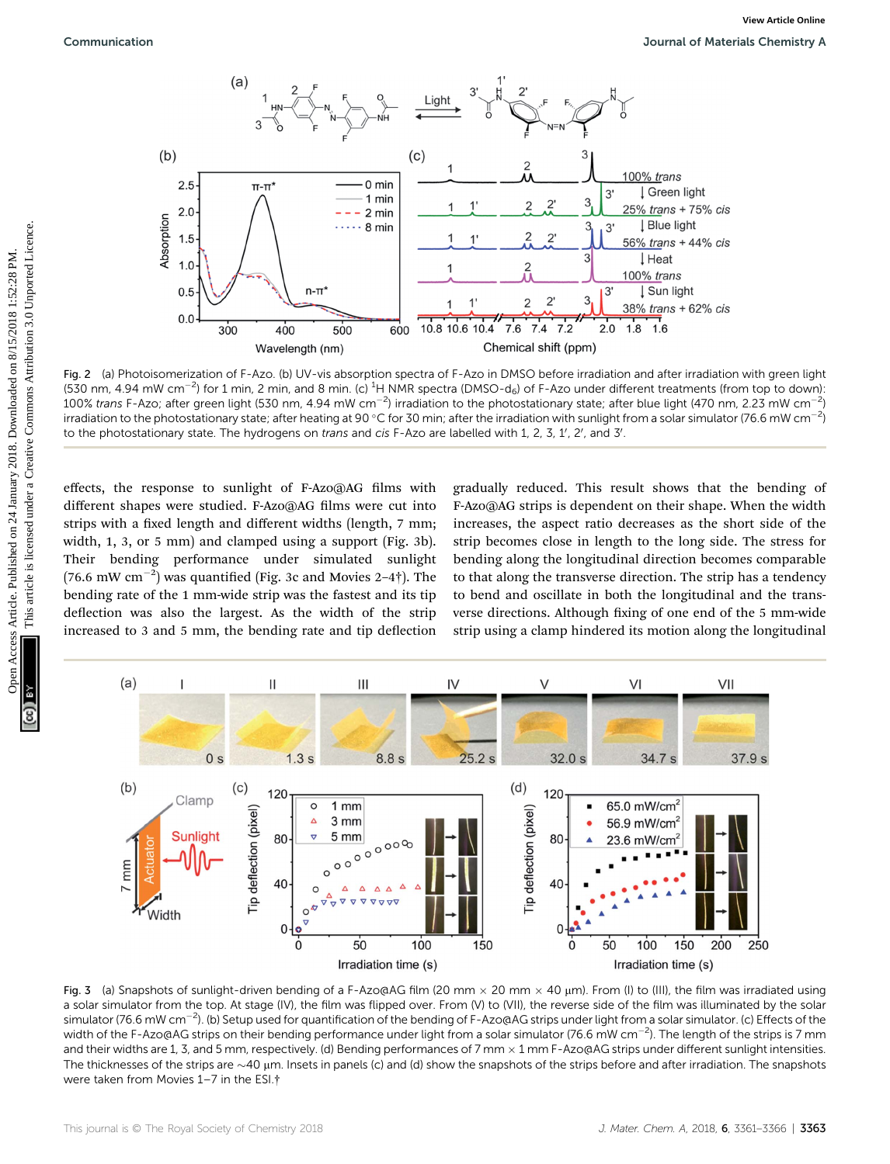

Fig. 2 (a) Photoisomerization of F-Azo. (b) UV-vis absorption spectra of F-Azo in DMSO before irradiation and after irradiation with green light (530 nm, 4.94 mW cm<sup>-2</sup>) for 1 min, 2 min, and 8 min. (c) <sup>1</sup>H NMR spectra (DMSO-d<sub>6</sub>) of F-Azo under different treatments (from top to down): 100% trans F-Azo; after green light (530 nm, 4.94 mW cm $^{-2}$ ) irradiation to the photostationary state; after blue light (470 nm, 2.23 mW cm $^{-2}$ ) irradiation to the photostationary state; after heating at 90 °C for 30 min; after the irradiation with sunlight from a solar simulator (76.6 mW cm $^{-2}$ ) to the photostationary state. The hydrogens on *trans* and *cis* F-Azo are labelled with 1, 2, 3, 1', 2', and 3'.

effects, the response to sunlight of F-Azo@AG films with different shapes were studied. F-Azo@AG films were cut into strips with a fixed length and different widths (length, 7 mm; width, 1, 3, or 5 mm) and clamped using a support (Fig. 3b). Their bending performance under simulated sunlight (76.6 mW  $\text{cm}^{-2}$ ) was quantified (Fig. 3c and Movies 2-4†). The bending rate of the 1 mm-wide strip was the fastest and its tip deflection was also the largest. As the width of the strip increased to 3 and 5 mm, the bending rate and tip deflection

gradually reduced. This result shows that the bending of F-Azo@AG strips is dependent on their shape. When the width increases, the aspect ratio decreases as the short side of the strip becomes close in length to the long side. The stress for bending along the longitudinal direction becomes comparable to that along the transverse direction. The strip has a tendency to bend and oscillate in both the longitudinal and the transverse directions. Although fixing of one end of the 5 mm-wide strip using a clamp hindered its motion along the longitudinal



Fig. 3 (a) Snapshots of sunlight-driven bending of a F-Azo@AG film (20 mm  $\times$  20 mm  $\times$  40 µm). From (I) to (III), the film was irradiated using a solar simulator from the top. At stage (IV), the film was flipped over. From (V) to (VII), the reverse side of the film was illuminated by the solar simulator (76.6 mW cm<sup>-2</sup>). (b) Setup used for quantification of the bending of F-Azo@AG strips under light from a solar simulator. (c) Effects of the width of the F-Azo@AG strips on their bending performance under light from a solar simulator (76.6 mW cm $^{-2}$ ). The length of the strips is 7 mm and their widths are 1, 3, and 5 mm, respectively. (d) Bending performances of 7 mm  $\times$  1 mm F-Azo@AG strips under different sunlight intensities. The thicknesses of the strips are  $\sim$ 40  $\mu$ m. Insets in panels (c) and (d) show the snapshots of the strips before and after irradiation. The snapshots were taken from Movies 1–7 in the ESI.†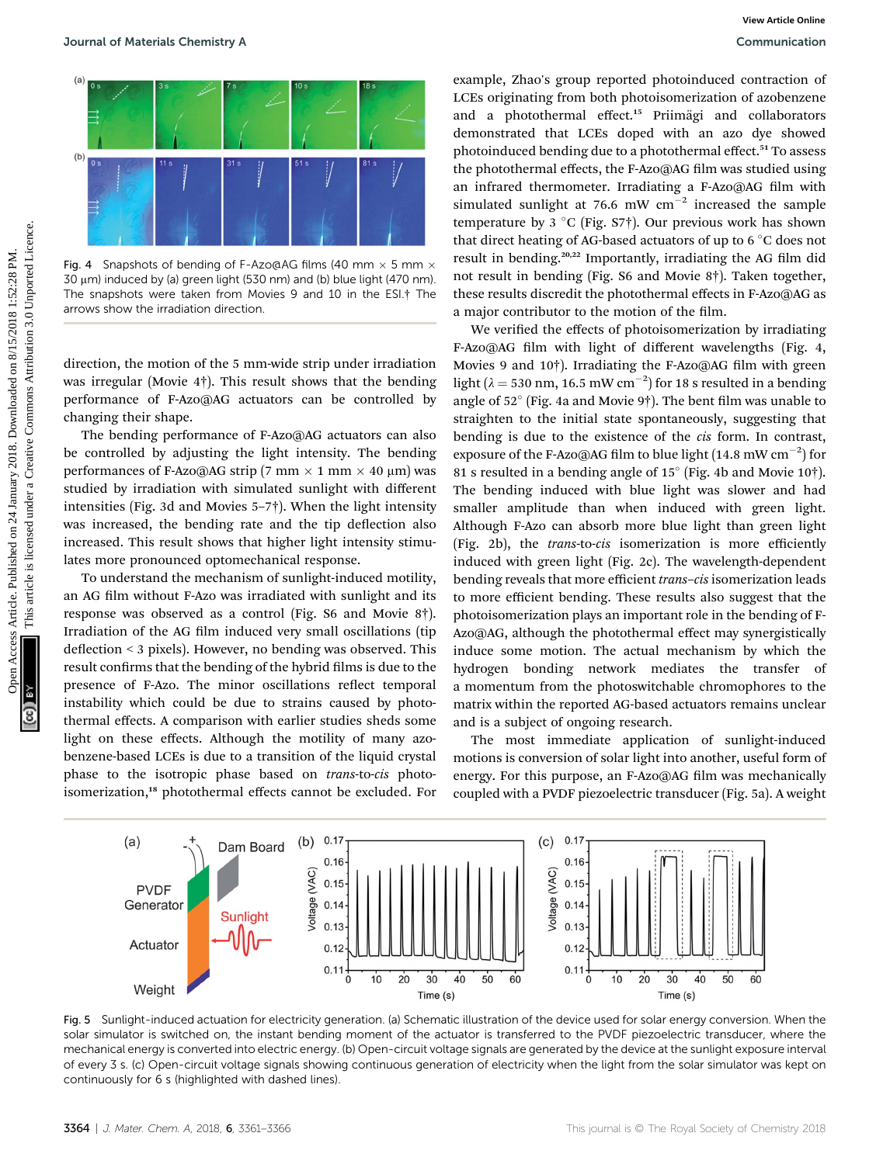

Fig. 4 Snapshots of bending of F-Azo@AG films (40 mm  $\times$  5 mm  $\times$  $30 \mu m$ ) induced by (a) green light (530 nm) and (b) blue light (470 nm). The snapshots were taken from Movies 9 and 10 in the ESI.† The arrows show the irradiation direction.

direction, the motion of the 5 mm-wide strip under irradiation was irregular (Movie 4†). This result shows that the bending performance of F-Azo@AG actuators can be controlled by changing their shape.

The bending performance of F-Azo@AG actuators can also be controlled by adjusting the light intensity. The bending performances of F-Azo@AG strip (7 mm  $\times$  1 mm  $\times$  40 µm) was studied by irradiation with simulated sunlight with different intensities (Fig. 3d and Movies 5–7†). When the light intensity was increased, the bending rate and the tip deflection also increased. This result shows that higher light intensity stimulates more pronounced optomechanical response.

To understand the mechanism of sunlight-induced motility, an AG film without F-Azo was irradiated with sunlight and its response was observed as a control (Fig. S6 and Movie 8†). Irradiation of the AG film induced very small oscillations (tip deflection  $\leq$  3 pixels). However, no bending was observed. This result confirms that the bending of the hybrid films is due to the presence of F-Azo. The minor oscillations reflect temporal instability which could be due to strains caused by photothermal effects. A comparison with earlier studies sheds some light on these effects. Although the motility of many azobenzene-based LCEs is due to a transition of the liquid crystal phase to the isotropic phase based on trans-to-cis photoisomerization,<sup>18</sup> photothermal effects cannot be excluded. For

example, Zhao's group reported photoinduced contraction of LCEs originating from both photoisomerization of azobenzene and a photothermal effect.<sup>15</sup> Priimägi and collaborators demonstrated that LCEs doped with an azo dye showed photoinduced bending due to a photothermal effect.<sup>51</sup> To assess the photothermal effects, the F-Azo@AG film was studied using an infrared thermometer. Irradiating a F-Azo@AG film with simulated sunlight at 76.6 mW  $cm^{-2}$  increased the sample temperature by 3 °C (Fig. S7 $\dagger$ ). Our previous work has shown that direct heating of AG-based actuators of up to  $6^{\circ}$ C does not result in bending.<sup>20,22</sup> Importantly, irradiating the AG film did not result in bending (Fig. S6 and Movie 8†). Taken together, these results discredit the photothermal effects in F-Azo@AG as a major contributor to the motion of the film.

We verified the effects of photoisomerization by irradiating F-Azo@AG film with light of different wavelengths (Fig. 4, Movies 9 and 10†). Irradiating the F-Azo@AG film with green light ( $\lambda = 530$  nm, 16.5 mW cm<sup>-2</sup>) for 18 s resulted in a bending angle of  $52^{\circ}$  (Fig. 4a and Movie 9†). The bent film was unable to straighten to the initial state spontaneously, suggesting that bending is due to the existence of the cis form. In contrast, exposure of the F-Azo@AG film to blue light (14.8 mW  $\rm cm^{-2})$  for 81 s resulted in a bending angle of  $15^{\circ}$  (Fig. 4b and Movie 10†). The bending induced with blue light was slower and had smaller amplitude than when induced with green light. Although F-Azo can absorb more blue light than green light (Fig. 2b), the trans-to-cis isomerization is more efficiently induced with green light (Fig. 2c). The wavelength-dependent bending reveals that more efficient trans–cis isomerization leads to more efficient bending. These results also suggest that the photoisomerization plays an important role in the bending of F-Azo@AG, although the photothermal effect may synergistically induce some motion. The actual mechanism by which the hydrogen bonding network mediates the transfer of a momentum from the photoswitchable chromophores to the matrix within the reported AG-based actuators remains unclear and is a subject of ongoing research. Sources Articles Chemistry Article 2018.<br>
The comparison of the comparison of the comparison of the comparison of the common access Article is licensed under a creative Common and the common access Article is licensed und

> The most immediate application of sunlight-induced motions is conversion of solar light into another, useful form of energy. For this purpose, an F-Azo@AG film was mechanically coupled with a PVDF piezoelectric transducer (Fig. 5a). A weight



Fig. 5 Sunlight-induced actuation for electricity generation. (a) Schematic illustration of the device used for solar energy conversion. When the solar simulator is switched on, the instant bending moment of the actuator is transferred to the PVDF piezoelectric transducer, where the mechanical energy is converted into electric energy. (b) Open-circuit voltage signals are generated by the device at the sunlight exposure interval of every 3 s. (c) Open-circuit voltage signals showing continuous generation of electricity when the light from the solar simulator was kept on continuously for 6 s (highlighted with dashed lines).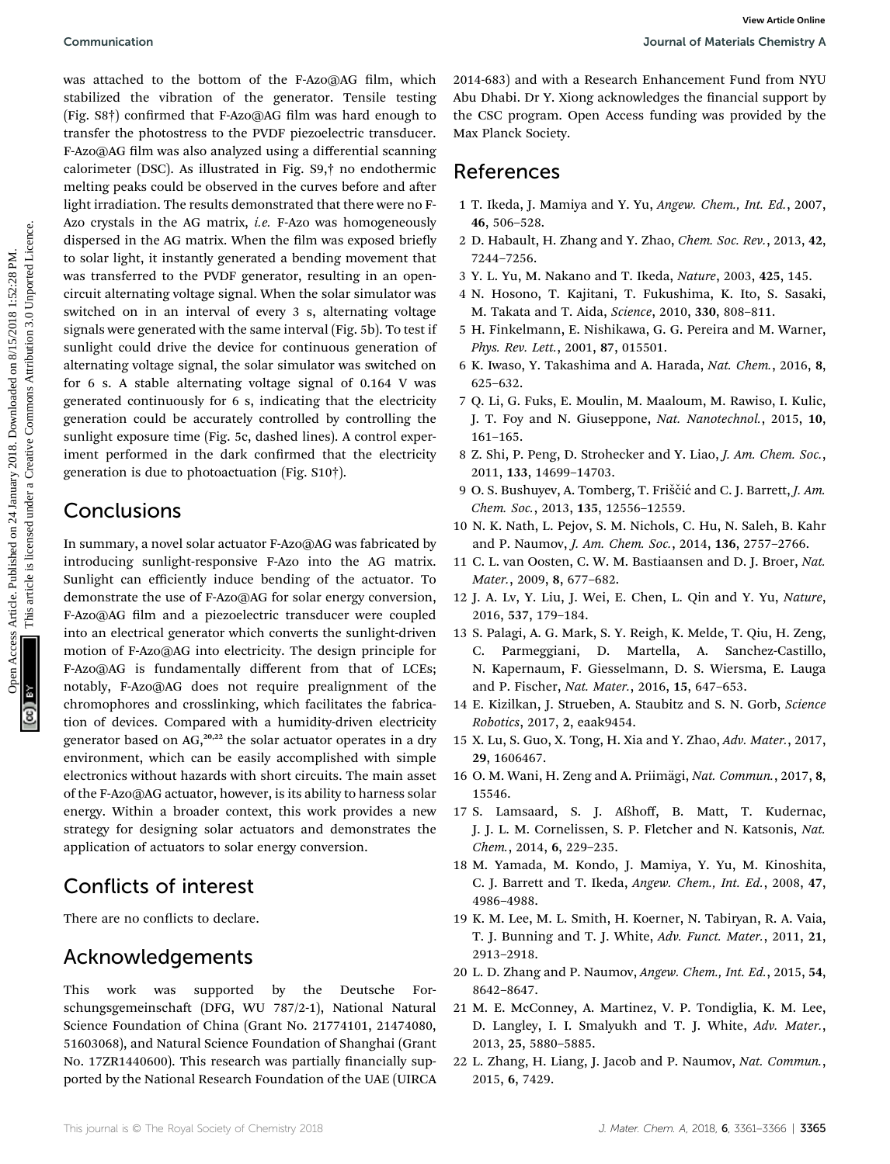was attached to the bottom of the F-Azo@AG film, which stabilized the vibration of the generator. Tensile testing (Fig. S8†) confirmed that F-Azo@AG film was hard enough to transfer the photostress to the PVDF piezoelectric transducer. F-Azo@AG film was also analyzed using a differential scanning calorimeter (DSC). As illustrated in Fig. S9,† no endothermic melting peaks could be observed in the curves before and after light irradiation. The results demonstrated that there were no F-Azo crystals in the AG matrix, *i.e.* F-Azo was homogeneously dispersed in the AG matrix. When the film was exposed briefly to solar light, it instantly generated a bending movement that was transferred to the PVDF generator, resulting in an opencircuit alternating voltage signal. When the solar simulator was switched on in an interval of every 3 s, alternating voltage signals were generated with the same interval (Fig. 5b). To test if sunlight could drive the device for continuous generation of alternating voltage signal, the solar simulator was switched on for 6 s. A stable alternating voltage signal of 0.164 V was generated continuously for 6 s, indicating that the electricity generation could be accurately controlled by controlling the sunlight exposure time (Fig. 5c, dashed lines). A control experiment performed in the dark confirmed that the electricity generation is due to photoactuation (Fig. S10†). Communication<br>
Search on 24 January 2018. Dependent on 24 January 2018. Dependent on 24 January 2018. The method of the properties on 8/15/2018 (The method of the properties are compared the method of the properties are t

#### Conclusions

In summary, a novel solar actuator F-Azo@AG was fabricated by introducing sunlight-responsive F-Azo into the AG matrix. Sunlight can efficiently induce bending of the actuator. To demonstrate the use of F-Azo@AG for solar energy conversion, F-Azo@AG film and a piezoelectric transducer were coupled into an electrical generator which converts the sunlight-driven motion of F-Azo@AG into electricity. The design principle for F-Azo@AG is fundamentally different from that of LCEs; notably, F-Azo@AG does not require prealignment of the chromophores and crosslinking, which facilitates the fabrication of devices. Compared with a humidity-driven electricity generator based on  $AG<sub>20,22</sub>$  the solar actuator operates in a dry environment, which can be easily accomplished with simple electronics without hazards with short circuits. The main asset of the F-Azo@AG actuator, however, is its ability to harness solar energy. Within a broader context, this work provides a new strategy for designing solar actuators and demonstrates the application of actuators to solar energy conversion.

#### Conflicts of interest

There are no conflicts to declare.

#### Acknowledgements

This work was supported by the Deutsche Forschungsgemeinschaft (DFG, WU 787/2-1), National Natural Science Foundation of China (Grant No. 21774101, 21474080, 51603068), and Natural Science Foundation of Shanghai (Grant No. 17ZR1440600). This research was partially financially supported by the National Research Foundation of the UAE (UIRCA

2014-683) and with a Research Enhancement Fund from NYU Abu Dhabi. Dr Y. Xiong acknowledges the financial support by the CSC program. Open Access funding was provided by the Max Planck Society.

#### References

- 1 T. Ikeda, J. Mamiya and Y. Yu, Angew. Chem., Int. Ed., 2007, 46, 506–528.
- 2 D. Habault, H. Zhang and Y. Zhao, Chem. Soc. Rev., 2013, 42, 7244–7256.
- 3 Y. L. Yu, M. Nakano and T. Ikeda, Nature, 2003, 425, 145.
- 4 N. Hosono, T. Kajitani, T. Fukushima, K. Ito, S. Sasaki, M. Takata and T. Aida, Science, 2010, 330, 808–811.
- 5 H. Finkelmann, E. Nishikawa, G. G. Pereira and M. Warner, Phys. Rev. Lett., 2001, 87, 015501.
- 6 K. Iwaso, Y. Takashima and A. Harada, Nat. Chem., 2016, 8, 625–632.
- 7 Q. Li, G. Fuks, E. Moulin, M. Maaloum, M. Rawiso, I. Kulic, J. T. Foy and N. Giuseppone, Nat. Nanotechnol., 2015, 10, 161–165.
- 8 Z. Shi, P. Peng, D. Strohecker and Y. Liao, J. Am. Chem. Soc., 2011, 133, 14699–14703.
- 9 O. S. Bushuyev, A. Tomberg, T. Friščić and C. J. Barrett, J. Am. Chem. Soc., 2013, 135, 12556–12559.
- 10 N. K. Nath, L. Pejov, S. M. Nichols, C. Hu, N. Saleh, B. Kahr and P. Naumov, J. Am. Chem. Soc., 2014, 136, 2757–2766.
- 11 C. L. van Oosten, C. W. M. Bastiaansen and D. J. Broer, Nat. Mater., 2009, 8, 677–682.
- 12 J. A. Lv, Y. Liu, J. Wei, E. Chen, L. Qin and Y. Yu, Nature, 2016, 537, 179–184.
- 13 S. Palagi, A. G. Mark, S. Y. Reigh, K. Melde, T. Qiu, H. Zeng, C. Parmeggiani, D. Martella, A. Sanchez-Castillo, N. Kapernaum, F. Giesselmann, D. S. Wiersma, E. Lauga and P. Fischer, Nat. Mater., 2016, 15, 647–653.
- 14 E. Kizilkan, J. Strueben, A. Staubitz and S. N. Gorb, Science Robotics, 2017, 2, eaak9454.
- 15 X. Lu, S. Guo, X. Tong, H. Xia and Y. Zhao, Adv. Mater., 2017, 29, 1606467.
- 16 O. M. Wani, H. Zeng and A. Priimägi, Nat. Commun., 2017, 8, 15546.
- 17 S. Lamsaard, S. J. Aßhoff, B. Matt, T. Kudernac, J. J. L. M. Cornelissen, S. P. Fletcher and N. Katsonis, Nat. Chem., 2014, 6, 229–235.
- 18 M. Yamada, M. Kondo, J. Mamiya, Y. Yu, M. Kinoshita, C. J. Barrett and T. Ikeda, Angew. Chem., Int. Ed., 2008, 47, 4986–4988.
- 19 K. M. Lee, M. L. Smith, H. Koerner, N. Tabiryan, R. A. Vaia, T. J. Bunning and T. J. White, Adv. Funct. Mater., 2011, 21, 2913–2918.
- 20 L. D. Zhang and P. Naumov, Angew. Chem., Int. Ed., 2015, 54, 8642–8647.
- 21 M. E. McConney, A. Martinez, V. P. Tondiglia, K. M. Lee, D. Langley, I. I. Smalyukh and T. J. White, Adv. Mater., 2013, 25, 5880–5885.
- 22 L. Zhang, H. Liang, J. Jacob and P. Naumov, Nat. Commun., 2015, 6, 7429.